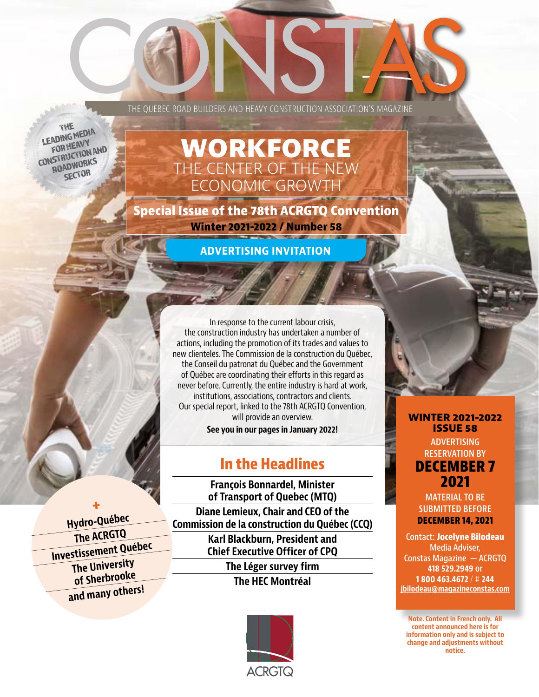THE QUEBEC ROAD BUILDERS AND HEAVY CONSTRUCTION ASSOCIATION'S MAGAZINE

THE **LEADING MEDIA** FOR HEAVY CONSTRUCTION AND ROADWORKS **SECTOR** 

**note** is a time of Sherbrooke  $\frac{1}{\sqrt{2}}$ **and many others!** 

**+ Hydro-Québec The ACRGTQ Investissement Québec The University** 

# **WORKFORCE** THE CENTER OF THE NEW ECONOMIC GROWTH

**Special Issue of the 78th ACRGTQ Convention Winter 2021-2022 / Number 58**

**ADVERTISING INVITATION**

In response to the current labour crisis, the construction industry has undertaken a number of actions, including the promotion of its trades and values to new clienteles. The Commission de la construction du Québec, the Conseil du patronat du Québec and the Government of Québec are coordinating their efforts in this regard as never before. Currently, the entire industry is hard at work, institutions, associations, contractors and clients. Our special report, linked to the 78th ACRGTQ Convention, will provide an overview.

**See you in our pages in January 2022!**

## **In the Headlines**

**François Bonnardel, Minister of Transport of Quebec (MTQ) Diane Lemieux, Chair and CEO of the Commission de la construction du Québec (CCQ) Karl Blackburn, President and Chief Executive Officer of CPQ The Léger survey firm The HEC Montréal**



### **WINTER 2021-2022 ISSUE 58**

**ADVERTISING RESERVATION BY DECEMBER 7 2021**

**MATERIAL TO BE SUBMITTED BEFORE DECEMBER 14, 2021**

**Contact: Jocelyne Bilodeau Media Adviser, Constas Magazine — ACRGTQ 418 529.2949 or 1 800 463.4672** / # **244 jbilodeau@magazineconstas.com**

**Note. Content in French only. All content announced here is for information only and is subject to change and adjustments without notice.**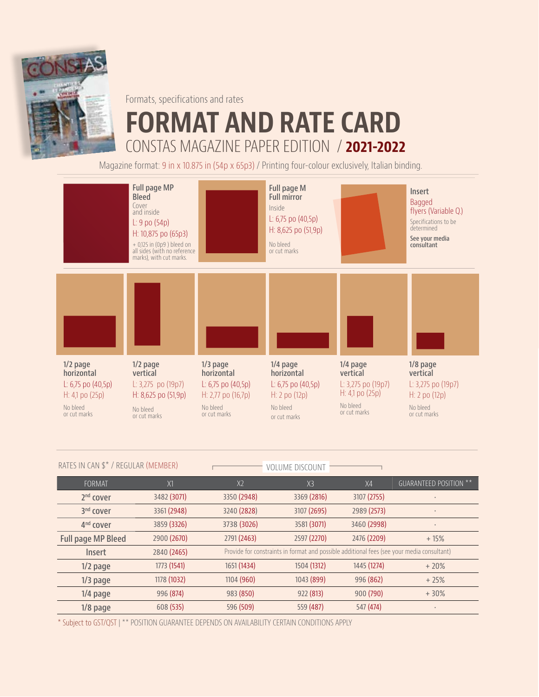

Formats, specifications and rates

# **FORMAT AND RATE CARD** CONSTAS MAGAZINE PAPER EDITION / **2021-2022**

Magazine format: 9 in x 10.875 in (54p x 65p3) / Printing four-colour exclusively, Italian binding.



| RATES IN CAN \$* / REGULAR (MEMBER) |             | <b>VOLUME DISCOUNT</b>                                                                     |                |             |                               |
|-------------------------------------|-------------|--------------------------------------------------------------------------------------------|----------------|-------------|-------------------------------|
| FORMAT                              | X1          | X <sub>2</sub>                                                                             | X <sup>3</sup> | X4          | <b>GUARANTEED POSITION **</b> |
| 2 <sup>nd</sup> cover               | 3482 (3071) | 3350 (2948)                                                                                | 3369 (2816)    | 3107 (2755) | ٠                             |
| 3 <sup>nd</sup> cover               | 3361 (2948) | 3240 (2828)                                                                                | 3107 (2695)    | 2989 (2573) | $\bullet$                     |
| 4 <sup>nd</sup> cover               | 3859 (3326) | 3738 (3026)                                                                                | 3581 (3071)    | 3460 (2998) | $\bullet$                     |
| <b>Full page MP Bleed</b>           | 2900 (2670) | 2791 (2463)                                                                                | 2597 (2270)    | 2476 (2209) | $+15%$                        |
| Insert                              | 2840 (2465) | Provide for constraints in format and possible additional fees (see your media consultant) |                |             |                               |
| $1/2$ page                          | 1773 (1541) | 1651 (1434)                                                                                | 1504 (1312)    | 1445 (1274) | $+20%$                        |
| $1/3$ page                          | 1178 (1032) | 1104 (960)                                                                                 | 1043 (899)     | 996 (862)   | $+25%$                        |
| $1/4$ page                          | 996 (874)   | 983 (850)                                                                                  | 922 (813)      | 900 (790)   | $+30%$                        |
| 1/8 page                            | 608 (535)   | 596 (509)                                                                                  | 559 (487)      | 547 (474)   | $\bullet$                     |

\* Subject to GST/QST | \*\* POSITION GUARANTEE DEPENDS ON AVAILABILITY CERTAIN CONDITIONS APPLY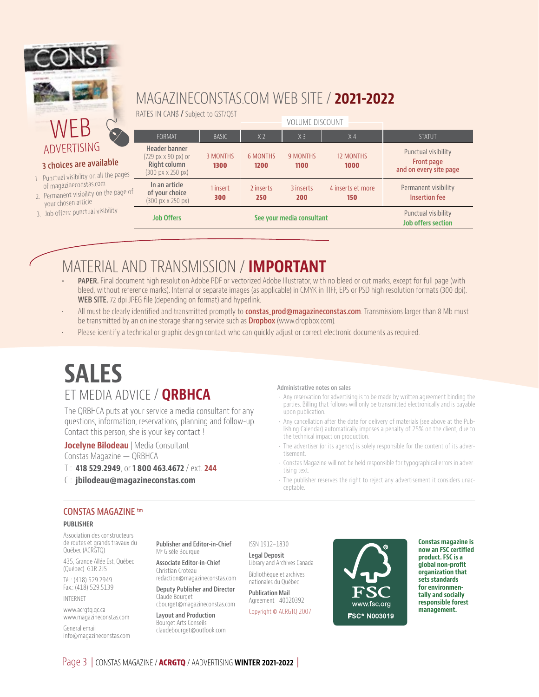

## ADVERTISING

#### **3 choices are available**

- 1. Punctual visibility on all the of magazineconstas.com
- 2. Permanent visibility on the your chosen article
- 3. Job offers: punctual visibilit

## MAGAZINECONSTAS.COM WEB SITE / **2021-2022**

RATES IN CAN\$ **/** Subject to GST/QST

| ty          | <b>Job Offers</b>                                                                                |                         |                         | See your media consultant |                          | Punctual visibility<br><b>Job offers section</b>            |
|-------------|--------------------------------------------------------------------------------------------------|-------------------------|-------------------------|---------------------------|--------------------------|-------------------------------------------------------------|
| page of     | In an article<br>of your choice<br>$(300 \text{ px} \times 250 \text{ px})$                      | 1 insert<br>300         | 2 inserts<br>250        | 3 inserts<br><b>200</b>   | 4 inserts et more<br>150 | Permanent visibility<br><b>Insertion fee</b>                |
| le<br>pages | Header banner<br>(729 px x 90 px) or<br>Right column<br>$(300 \text{ px} \times 250 \text{ px})$ | <b>3 MONTHS</b><br>1300 | <b>6 MONTHS</b><br>1200 | <b>9 MONTHS</b><br>1100   | <b>12 MONTHS</b><br>1000 | Punctual visibility<br>Front page<br>and on every site page |
|             | <b>FORMAT</b>                                                                                    | <b>BASIC</b>            | X <sub>2</sub>          | X <sub>3</sub>            | X <sub>4</sub>           | <b>STATUT</b>                                               |
| J           |                                                                                                  |                         |                         | <b>VOLUME DISCOUNT</b>    |                          |                                                             |

# MATERIAL AND TRANSMISSION / **IMPORTANT**

- **• PAPER.** Final document high resolution Adobe PDF or vectorized Adobe Illustrator, with no bleed or cut marks, except for full page (with bleed, without reference marks). Internal or separate images (as applicable) in CMYK in TIFF, EPS or PSD high resolution formats (300 dpi). **WEB SITE.** 72 dpi JPEG file (depending on format) and hyperlink.
- All must be clearly identified and transmitted promptly to **constas\_prod@magazineconstas.com**. Transmissions larger than 8 Mb must be transmitted by an online storage sharing service such as **Dropbox** (www.dropbox.com).
- Please identify a technical or graphic design contact who can quickly adjust or correct electronic documents as required.

# **SALES** ET MEDIA ADVICE / **QRBHCA**

The QRBHCA puts at your service a media consultant for any questions, information, reservations, planning and follow-up. Contact this person, she is your key contact !

**Jocelyne Bilodeau** | Media Consultant Constas Magazine — QRBHCA

- T : **418 529.2949**, or **1 800 463.4672** / ext. **244**
- C : **jbilodeau@magazineconstas.com**

#### **Administrative notes on sales**

- Any reservation for advertising is to be made by written agreement binding the parties. Billing that follows will only be transmitted electronically and is payable upon publication.
- Any cancellation after the date for delivery of materials (see above at the Publishing Calendar) automatically imposes a penalty of 25% on the client, due to the technical impact on production.
- The advertiser (or its agency) is solely responsible for the content of its advertisement.
- Constas Magazine will not be held responsible for typographical errors in advertising text.
- The publisher reserves the right to reject any advertisement it considers unacceptable.

### **CONSTAS MAGAZINE tm**

#### **PUBLISHER**

Association des constructeurs de routes et grands travaux du Québec (ACRGTQ)

435, Grande Allée Est, Québec (Québec) G1R 2J5

Tél.: (418) 529.2949 Fax.: (418) 529.5139

INTERNET

www.acrgtq.qc.ca www.magazineconstas.com

General email info@magazineconstas.com **Publisher and Editor-in-Chief** Me Gisèle Bourque

**Associate Editor-in-Chief**  Christian Croteau

redaction@magazineconstas.com **Deputy Publisher and Director** Claude Bourget

cbourget@magazineconstas.com **Layout and Production** Bourget Arts Conseils claudebourget@outlook.com

ISSN 1912-1830

**Legal Deposit** Library and Archives Canada Bibliothèque et archives

nationales du Québec **Publication Mail** Agreement 40020392

Copyright © ACRGTQ 2007



**Constas magazine is now an FSC certified product. FSC is a global non-profit organization that sets standards for environmentally and socially responsible forest management.**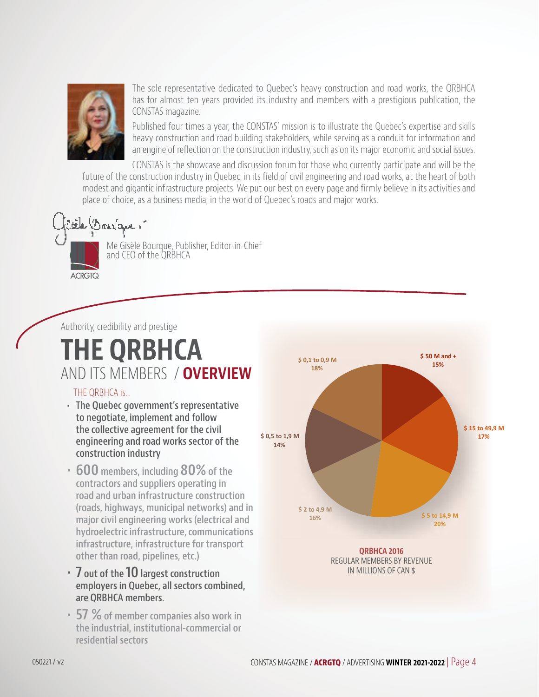

The sole representative dedicated to Quebec's heavy construction and road works, the QRBHCA has for almost ten years provided its industry and members with a prestigious publication, the CONSTAS magazine.

Published four times a year, the CONSTAS' mission is to illustrate the Quebec's expertise and skills heavy construction and road building stakeholders, while serving as a conduit for information and an engine of reflection on the construction industry, such as on its major economic and social issues.

CONSTAS is the showcase and discussion forum for those who currently participate and will be the future of the construction industry in Quebec, in its field of civil engineering and road works, at the heart of both modest and gigantic infrastructure projects. We put our best on every page and firmly believe in its activities and place of choice, as a business media, in the world of Quebec's roads and major works.



Me Gisèle Bourque, Publisher, Editor-in-Chief and CEO of the QRBHCA

Authority, credibility and prestige

# **THE QRBHCA** AND ITS MEMBERS / **OVERVIEW**

## THE ORBHCA is...

- **• The Quebec government's representative to negotiate, implement and follow the collective agreement for the civil engineering and road works sector of the construction industry**
- **• 600 members, including 80% of the contractors and suppliers operating in road and urban infrastructure construction (roads, highways, municipal networks) and in major civil engineering works (electrical and hydroelectric infrastructure, communications infrastructure, infrastructure for transport other than road, pipelines, etc.)**
- **• 7 out of the 10 largest construction employers in Quebec, all sectors combined, are QRBHCA members.**
- **• 57 % of member companies also work in the industrial, institutional-commercial or residential sectors**

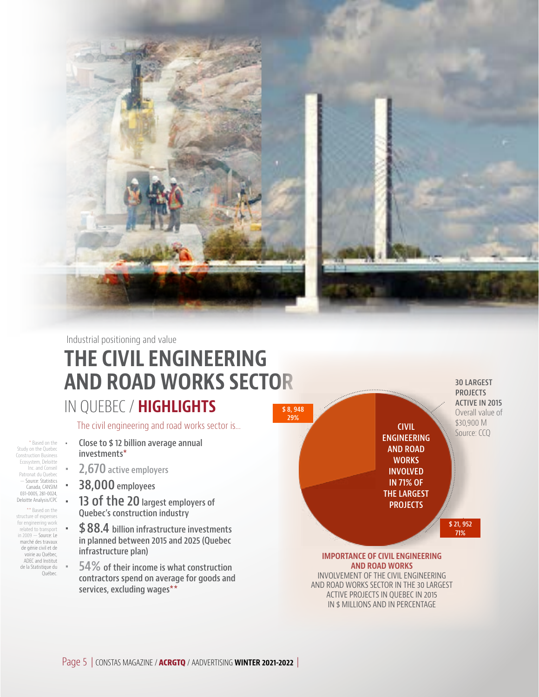

**THE CIVIL ENGINEERING AND ROAD WORKS SECTOR** Industrial positioning and value

# IN QUEBEC / **HIGHLIGHTS**

The civil engineering and road works sector is...

- **• Close to \$ 12 billion average annual investments\***
	- **• 2,670 active employers**
- **• 38,000 employees**

\* Based on the Study on the Quebec Construction Business Ecosystem, Deloitte Inc. and Conseil Patronat du Quebec — Source: Statistics Canada, CANSIM 031-0005, 281-0024, Deloitte Analysis/CPC \*\* Based on the structure of expenses for engineering work related to transport in 2009 — Source: Le marché des travaux de génie civil et de voirie au Québec, ADEC and Institut de la Statistique du Québec.

- **• 13 of the 20 largest employers of Quebec's construction industry**
- **• \$ 88.4 billion infrastructure investments in planned between 2015 and 2025 (Quebec infrastructure plan)**
- **• 54% of their income is what construction contractors spend on average for goods and services, excluding wages\*\***



**IMPORTANCE DU GÉNIE CIVIL EN DU GÉNIE DU GÉNIE DU GÉNIE DU GÉNIE DU GÉNIE DU GÉNIE DU GÉNIE DU GÉNIE DU GÉNIE DU** INVOLVEMENT OF THE CIVIL ENGINEERING AND ROAD WORKS SECTOR IN THE 30 LARGEST E NOND TESTIS DECISION IN THE 50 D NO. **IMPORTANCE OF CIVIL ENGINEERING** IN \$ MILLIONS AND IN PERCENTAGE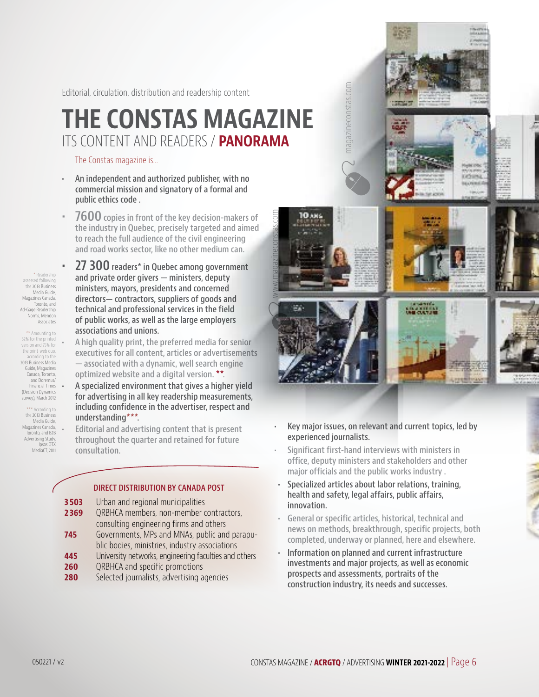Editorial, circulation, distribution and readership content

# **THE CONSTAS MAGAZINE** ITS CONTENT AND READERS / **PANORAMA**

www.magazineconstas.com

**DANS** 

Constas Web site

The Constas magazine is...

- **• An independent and authorized publisher, with no commercial mission and signatory of a formal and public ethics code .**
- **• 7600 copies in front of the key decision-makers of the industry in Quebec, precisely targeted and aimed to reach the full audience of the civil engineering and road works sector, like no other medium can.**
- \* Readership assessed following the 2013 Business Media Guide, Magazines Canada, Toronto, and Ad-Gage Readership Norms, Mendon Associates

\*\* Amounting to 52% for the printed version and 75% for the print-web duo, .<br>cording to the 2013 Business Media Guide, Magazines Canada, Toronto, and Doremus/ Financial Times (Decision Dynamics survey), March 2012

\*\*\* According to the 2013 Business Media Guide, Magazines Canada, Toronto, and B2B Advertising Study, Ipsos OTX MediaCT, 2011

- **• 27 300 readers\* in Quebec among government and private order givers — ministers, deputy ministers, mayors, presidents and concerned directors— contractors, suppliers of goods and technical and professional services in the field of public works, as well as the large employers associations and unions.**
- **• A high quality print, the preferred media for senior executives for all content, articles or advertisements — associated with a dynamic, well search engine optimized website and a digital version. \*\*.**
- **• A specialized environment that gives a higher yield for advertising in all key readership measurements, including confidence in the advertiser, respect and understanding\*\*\*.**

**• Editorial and advertising content that is present throughout the quarter and retained for future consultation.**

### **DIRECT DISTRIBUTION BY CANADA POST**

- **3 503** Urban and regional municipalities **2 369** QRBHCA members, non-member contractors, consulting engineering firms and others **745** Governments, MPs and MNAs, public and parapublic bodies, ministries, industry associations **445** University networks, engineering faculties and others
- **260** QRBHCA and specific promotions
- **280** Selected journalists, advertising agencies



**Little** 

magazineconstas.com magazineconstas.com

- **• Key major issues, on relevant and current topics, led by experienced journalists.**
- **• Significant first-hand interviews with ministers in office, deputy ministers and stakeholders and other major officials and the public works industry .**
- **• Specialized articles about labor relations, training, health and safety, legal affairs, public affairs, innovation.**
- **• General or specific articles, historical, technical and news on methods, breakthrough, specific projects, both completed, underway or planned, here and elsewhere.**
- **• Information on planned and current infrastructure investments and major projects, as well as economic prospects and assessments, portraits of the construction industry, its needs and successes.**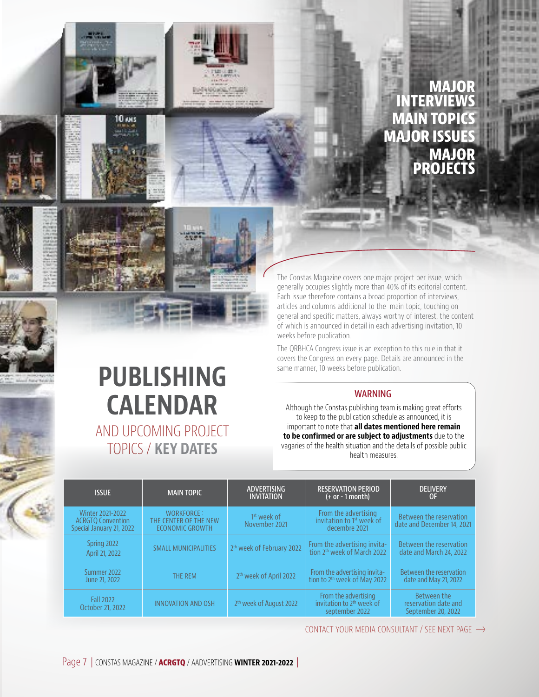

## **MAJOR INTERVIEWS MAIN TOPICS MAJOR ISSUES MAJOR PROJECTS**

The Constas Magazine covers one major project per issue, which generally occupies slightly more than 40% of its editorial content. Each issue therefore contains a broad proportion of interviews, articles and columns additional to the main topic, touching on general and specific matters, always worthy of interest, the content of which is announced in detail in each advertising invitation, 10 weeks before publication.

The QRBHCA Congress issue is an exception to this rule in that it covers the Congress on every page. Details are announced in the same manner, 10 weeks before publication.

### **WARNING**

Although the Constas publishing team is making great efforts to keep to the publication schedule as announced, it is important to note that **all dates mentioned here remain to be confirmed or are subject to adjustments** due to the vagaries of the health situation and the details of possible public health measures.

| <b>ISSUE</b>                                                             | <b>MAIN TOPIC</b>                                             | <b>ADVERTISING</b><br><b>INVITATION</b>  | <b>RESERVATION PERIOD</b><br>$(+ or - 1 month)$                                 | <b>DELIVERY</b><br>0F                                     |
|--------------------------------------------------------------------------|---------------------------------------------------------------|------------------------------------------|---------------------------------------------------------------------------------|-----------------------------------------------------------|
| Winter 2021-2022<br><b>ACRGTO Convention</b><br>Special January 21, 2022 | WORKFORCE:<br>THE CENTER OF THE NEW<br><b>ECONOMIC GROWTH</b> | 1 <sup>st</sup> week of<br>November 2021 | From the advertising<br>invitation to 1 <sup>st</sup> week of<br>decembre 2021  | Between the reservation<br>date and December 14, 2021     |
| Spring 2022<br>April 21, 2022                                            | <b>SMALL MUNICIPALITIES</b>                                   | 2 <sup>th</sup> week of February 2022    | From the advertising invita-<br>tion 2 <sup>th</sup> week of March 2022         | Between the reservation<br>date and March 24, 2022        |
| Summer 2022<br>June 21, 2022                                             | THE REM                                                       | 2 <sup>th</sup> week of April 2022       | From the advertising invita-<br>tion to 2 <sup>th</sup> week of May 2022        | Between the reservation<br>date and May 21, 2022          |
| <b>Fall 2022</b><br>October 21, 2022                                     | <b>INNOVATION AND OSH</b>                                     | 2 <sup>th</sup> week of August 2022      | From the advertising<br>invitation to 2 <sup>th</sup> week of<br>september 2022 | Between the<br>reservation date and<br>September 20, 2022 |

CONTACT YOUR MEDIA CONSULTANT / SEE NEXT PAGE  $\rightarrow$ 

**PUBLISHING** 

**CALENDAR**

AND UPCOMING PROJECT

TOPICS / **KEY DATES**